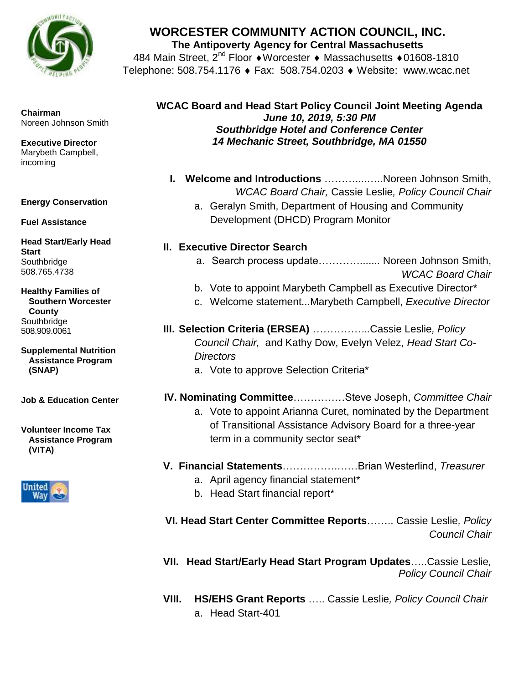

#### **Chairman** Noreen Johnson Smith

**Executive Director** Marybeth Campbell, incoming

#### **Energy Conservation**

**Fuel Assistance** 

**Head Start/Early Head Start Southbridge** 508.765.4738

**Healthy Families of Southern Worcester County Southbridge** 508.909.0061

**Supplemental Nutrition Assistance Program (SNAP)**

**Job & Education Center** 

**Volunteer Income Tax Assistance Program (VITA)**



# **WORCESTER COMMUNITY ACTION COUNCIL, INC.**

**The Antipoverty Agency for Central Massachusetts**

484 Main Street, 2<sup>nd</sup> Floor • Worcester • Massachusetts • 01608-1810 Telephone: 508.754.1176 ♦ Fax: 508.754.0203 ♦ Website: www.wcac.net

## **WCAC Board and Head Start Policy Council Joint Meeting Agenda** *June 10, 2019, 5:30 PM Southbridge Hotel and Conference Center 14 Mechanic Street, Southbridge, MA 01550*

- **I. Welcome and Introductions** ………....…..Noreen Johnson Smith, *WCAC Board Chair,* Cassie Leslie*, Policy Council Chair*
	- a. Geralyn Smith, Department of Housing and Community Development (DHCD) Program Monitor

### **II. Executive Director Search**

- a. Search process update…………....... Noreen Johnson Smith, *WCAC Board Chair*
- b. Vote to appoint Marybeth Campbell as Executive Director\*
- c. Welcome statement...Marybeth Campbell, *Executive Director*
- **III. Selection Criteria (ERSEA)** *……………..*Cassie Leslie*, Policy Council Chair,* and Kathy Dow, Evelyn Velez, *Head Start Co-Directors*
	- a. Vote to approve Selection Criteria\*
- **IV. Nominating Committee**……………Steve Joseph, *Committee Chair*
	- a. Vote to appoint Arianna Curet, nominated by the Department of Transitional Assistance Advisory Board for a three-year term in a community sector seat\*
- **V. Financial Statements**…………….……Brian Westerlind, *Treasurer*
	- a. April agency financial statement\*
	- b. Head Start financial report\*

**VI. Head Start Center Committee Reports**…….. Cassie Leslie*, Policy Council Chair*

**VII. Head Start/Early Head Start Program Updates**…..Cassie Leslie*, Policy Council Chair*

**VIII. HS/EHS Grant Reports** ….. Cassie Leslie*, Policy Council Chair* a. Head Start-401